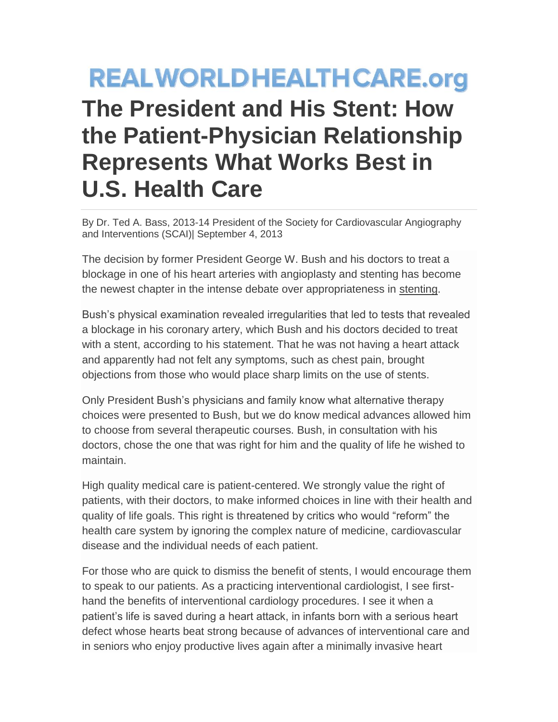## **REALWORLDHEALTHCARE.org The President and His Stent: How the Patient-Physician Relationship Represents What Works Best in U.S. Health Care**

By Dr. Ted A. Bass, 2013-14 President of the Society for Cardiovascular Angiography and Interventions (SCAI)| September 4, 2013

The decision by former President George W. Bush and his doctors to treat a blockage in one of his heart arteries with angioplasty and stenting has become the newest chapter in the intense debate over appropriateness in [stenting.](http://www.scai.org/SecondsCount/Treatment/Detail.aspx?cid=0476d4d3-7e67-4c2c-9282-0a58e1c42395)

Bush's physical examination revealed irregularities that led to tests that revealed a blockage in his coronary artery, which Bush and his doctors decided to treat with a stent, according to his statement. That he was not having a heart attack and apparently had not felt any symptoms, such as chest pain, brought objections from those who would place sharp limits on the use of stents.

Only President Bush's physicians and family know what alternative therapy choices were presented to Bush, but we do know medical advances allowed him to choose from several therapeutic courses. Bush, in consultation with his doctors, chose the one that was right for him and the quality of life he wished to maintain.

High quality medical care is patient-centered. We strongly value the right of patients, with their doctors, to make informed choices in line with their health and quality of life goals. This right is threatened by critics who would "reform" the health care system by ignoring the complex nature of medicine, cardiovascular disease and the individual needs of each patient.

For those who are quick to dismiss the benefit of stents, I would encourage them to speak to our patients. As a practicing interventional cardiologist, I see firsthand the benefits of interventional cardiology procedures. I see it when a patient's life is saved during a heart attack, in infants born with a serious heart defect whose hearts beat strong because of advances of interventional care and in seniors who enjoy productive lives again after a minimally invasive heart